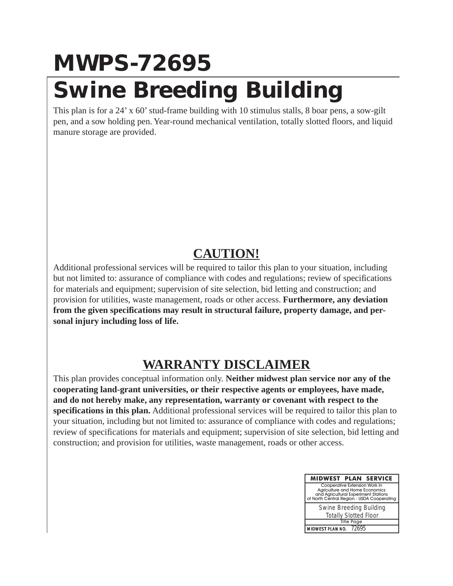### **MWPS-72695 Swine Breeding Building**

This plan is for a 24' x 60' stud-frame building with 10 stimulus stalls, 8 boar pens, a sow-gilt pen, and a sow holding pen. Year-round mechanical ventilation, totally slotted floors, and liquid manure storage are provided.

#### **CAUTION!**

Additional professional services will be required to tailor this plan to your situation, including but not limited to: assurance of compliance with codes and regulations; review of specifications for materials and equipment; supervision of site selection, bid letting and construction; and provision for utilities, waste management, roads or other access. **Furthermore, any deviation from the given specifications may result in structural failure, property damage, and personal injury including loss of life.**

#### **WARRANTY DISCLAIMER**

This plan provides conceptual information only. **Neither midwest plan service nor any of the cooperating land-grant universities, or their respective agents or employees, have made, and do not hereby make, any representation, warranty or covenant with respect to the specifications in this plan.** Additional professional services will be required to tailor this plan to your situation, including but not limited to: assurance of compliance with codes and regulations; review of specifications for materials and equipment; supervision of site selection, bid letting and construction; and provision for utilities, waste management, roads or other access.

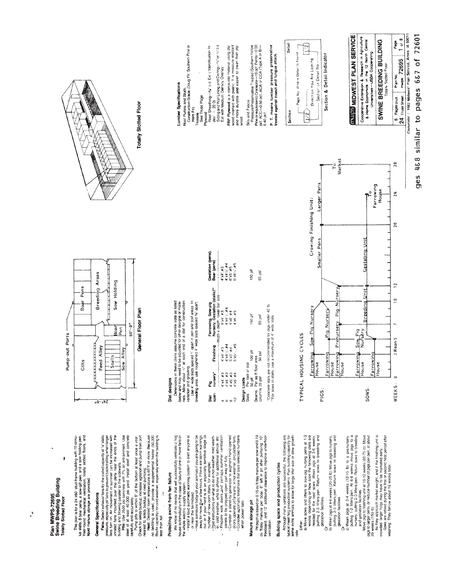Plan MWPS-72695<br>Swine Breeding Building<br>Totally Slotted Floor

ł

This plan is for a 24 x60' stud-frame building with 10 simulas and a saw off pen, and a sow holding pen.<br>Lus stalls, 8 boar pens, a sow-git! pen, and a sow holding pen.<br>Huwd menure storage are provided.

## General Specifications

**Fan**: Select exhaust fars for the stated capachy at 'it' state and select exhaust fars for the stated capachy at 'it' state the state of the properties of the present can be increased with the state of the present can be

# Protecting swine from fan failure

Dimensions in these plans assume concrete side as listed<br>rates. Allow about 1% at each lend to a star for construction<br>rates. Allow about 1% at each lend to a star for construction<br>rates. Allow and grouting.<br>rates and grou

Slat designs

Roof Puriins and Studs<br>Construction Grade (Doug Fir, Southern Pine or

umber Specifications

Roof Sheathing-3/4" c-c Ext ("Identification In-

Trusses<br>See Truss Page

Plywood

Hem Fir)

We know of no obvio that will successfully vehilate a hogy<br>complete the most of the most particle of one of more than the control of<br>the whole electric significantly spatial of one or more that or<br>the three someone baby es

Ì

Manure storage pit

Pit depth is based on 0.15 cu tiday manure per sow and 0.19<br>cu foday manure per boar, 6" left in pit after pumping, 10"<br>freeboard, and 12" additional clearance to improve underfloor ventilation.

# Building space and production cycles

Atthough many variations are successful, the following are<br>hybical meat hog production systems. Plan building capacity for<br>some extra animals to allow for large litter size or slow growth ate.

# Either:

a) Movie sows and litters to sow-plg nursing pens at 1-3<br>revealed for the next sows somethe latinowing Sweeker<br>revealed for the next sows somethe latinowing Sweeker<br>patting 2-3 litters pen. Return sows to breeding and

Or."<br>b) Wean pigs at 4-6 weeks (20-25 lb). Move pigs to nursery.<br>gestation its pittes pen. Return sows to breeding and<br>gestation its pittes.

ä

c) Wean pigs at 3-4 weeks (12-15 lb) to a prenursery.<br>putting 1-2 litters pen. At 6-8 weeks move pigs to a<br>and gey: atom facilities fee. Refurn sows to breeding

Move pigs to finishing unit at 10-12 weeks (60-75 lb). Move

pigs to larger pens, or reduce number of pags per pen. ai about<br>20 Methods (150 lb).<br>20 Methods (150 lb).<br>crowded. larger hogs may have to be markeled early<br>crowded. larger hogs may have to be markeled early.<br>wearing. They



General Floor Plan





#### Å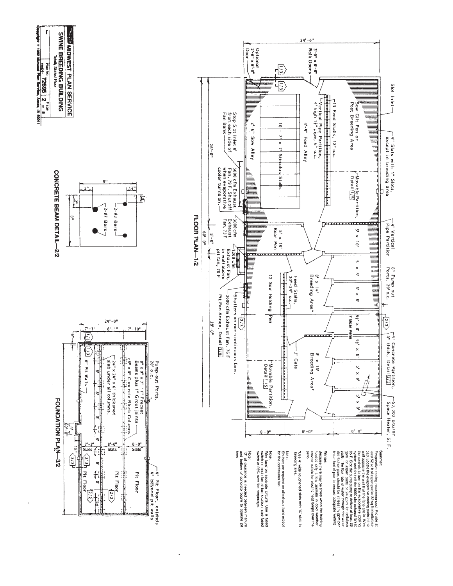

 $\overline{\phantom{a}}$ 



 $24! - 0$ <sup>11</sup>

 $3^{1}-0^{11} \times 6^{1}-8^{11}$ <br>Walk Doors

Slot Inlet-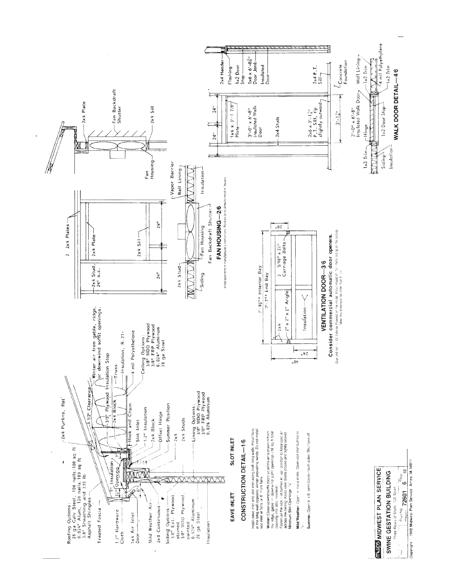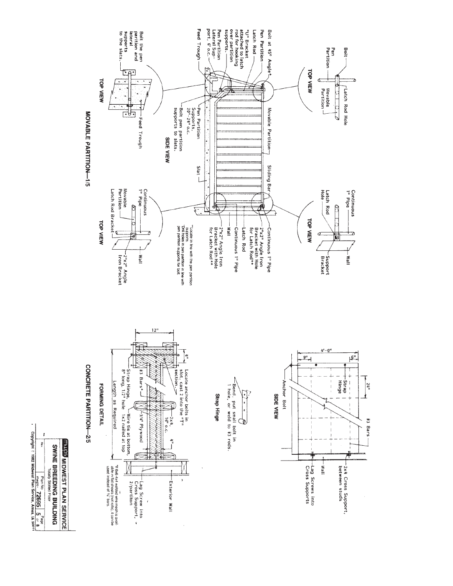

# CONCRETE PARTITION-2/5



## **Strap Hinge**







 $\frac{24^n}{n}$ 

#3 Bars

# MOVABLE PARTITION-1/5